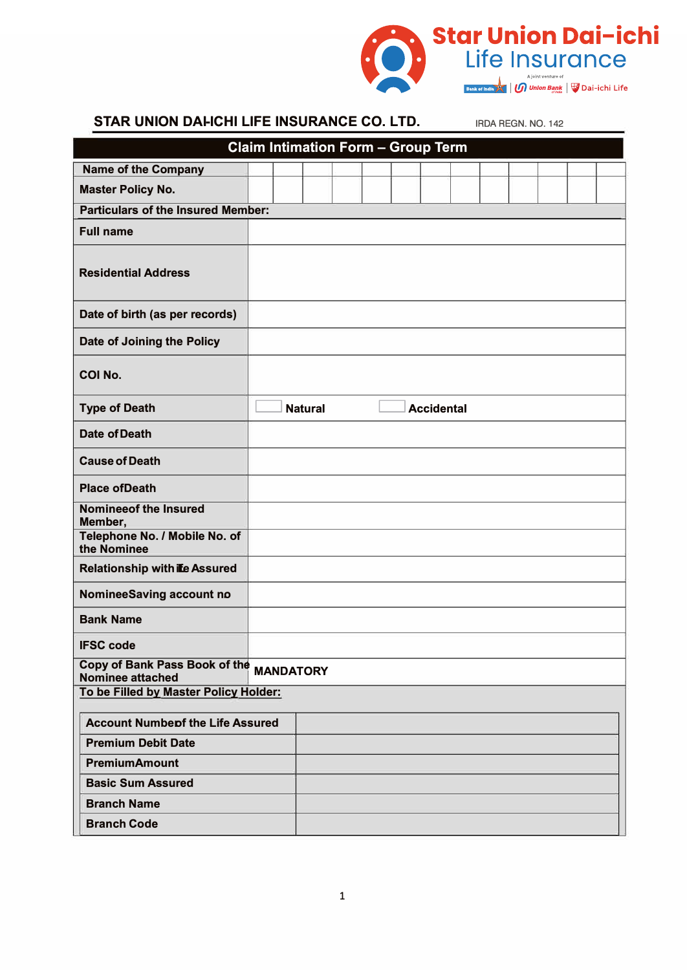

## **STAR UNION DAI-ICHI LIFE INSURANCE CO. LTD.** IRDA REGN. NO. 142

|                                                                    |  | <b>Claim Intimation Form - Group Term</b> |  |                   |  |  |  |
|--------------------------------------------------------------------|--|-------------------------------------------|--|-------------------|--|--|--|
| <b>Name of the Company</b>                                         |  |                                           |  |                   |  |  |  |
| <b>Master Policy No.</b>                                           |  |                                           |  |                   |  |  |  |
| <b>Particulars of the Insured Member:</b>                          |  |                                           |  |                   |  |  |  |
| <b>Full name</b>                                                   |  |                                           |  |                   |  |  |  |
| <b>Residential Address</b>                                         |  |                                           |  |                   |  |  |  |
| Date of birth (as per records)                                     |  |                                           |  |                   |  |  |  |
| Date of Joining the Policy                                         |  |                                           |  |                   |  |  |  |
| <b>COI No.</b>                                                     |  |                                           |  |                   |  |  |  |
| <b>Type of Death</b>                                               |  | <b>Natural</b>                            |  | <b>Accidental</b> |  |  |  |
| <b>Date of Death</b>                                               |  |                                           |  |                   |  |  |  |
| <b>Cause of Death</b>                                              |  |                                           |  |                   |  |  |  |
| <b>Place of Death</b>                                              |  |                                           |  |                   |  |  |  |
| <b>Nomineeof the Insured</b><br>Member,                            |  |                                           |  |                   |  |  |  |
| Telephone No. / Mobile No. of<br>the Nominee                       |  |                                           |  |                   |  |  |  |
| <b>Relationship with ife Assured</b>                               |  |                                           |  |                   |  |  |  |
| <b>NomineeSaving account no</b>                                    |  |                                           |  |                   |  |  |  |
| <b>Bank Name</b>                                                   |  |                                           |  |                   |  |  |  |
| <b>IFSC code</b>                                                   |  |                                           |  |                   |  |  |  |
| Copy of Bank Pass Book of the MANDATORY<br><b>Nominee attached</b> |  |                                           |  |                   |  |  |  |
| To be Filled by Master Policy Holder:                              |  |                                           |  |                   |  |  |  |
| <b>Account Numbepf the Life Assured</b>                            |  |                                           |  |                   |  |  |  |
| <b>Premium Debit Date</b>                                          |  |                                           |  |                   |  |  |  |
| <b>PremiumAmount</b>                                               |  |                                           |  |                   |  |  |  |
| <b>Basic Sum Assured</b>                                           |  |                                           |  |                   |  |  |  |
| <b>Branch Name</b>                                                 |  |                                           |  |                   |  |  |  |
| <b>Branch Code</b>                                                 |  |                                           |  |                   |  |  |  |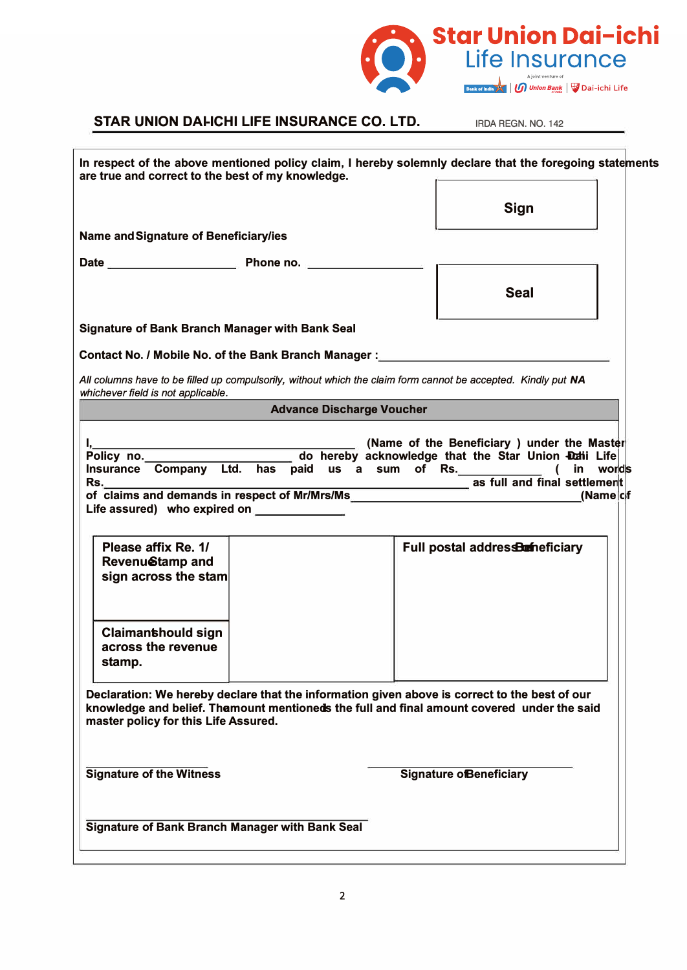

**IRDA REGN. NO. 142** 

| In respect of the above mentioned policy claim, I hereby solemnly declare that the foregoing state ments<br>are true and correct to the best of my knowledge.                                                                                                  |                                                                                                                                                                |
|----------------------------------------------------------------------------------------------------------------------------------------------------------------------------------------------------------------------------------------------------------------|----------------------------------------------------------------------------------------------------------------------------------------------------------------|
|                                                                                                                                                                                                                                                                | <b>Sign</b>                                                                                                                                                    |
| <b>Name and Signature of Beneficiary/ies</b>                                                                                                                                                                                                                   |                                                                                                                                                                |
|                                                                                                                                                                                                                                                                |                                                                                                                                                                |
|                                                                                                                                                                                                                                                                | <b>Seal</b>                                                                                                                                                    |
| <b>Signature of Bank Branch Manager with Bank Seal</b>                                                                                                                                                                                                         |                                                                                                                                                                |
| Contact No. / Mobile No. of the Bank Branch Manager :___________________________                                                                                                                                                                               |                                                                                                                                                                |
| All columns have to be filled up compulsorily, without which the claim form cannot be accepted. Kindly put NA<br>whichever field is not applicable.                                                                                                            |                                                                                                                                                                |
| <b>Advance Discharge Voucher</b>                                                                                                                                                                                                                               |                                                                                                                                                                |
| I <u>, L</u><br>Insurance Company Ltd. has paid us a sum of Rs.<br>Rs.<br>of claims and demands in respect of Mr/Mrs/Ms<br>Life assured) who expired on <b>EXADLE EXADLE ASSURED</b><br>Please affix Re. 1/<br>Revenu <b>Stamp</b> and<br>sign across the stam | (Name of the Beneficiary ) under the Master<br>in worlds<br>_____________________ as full and final settlement<br>(Name of<br>Full postal addresserine ficiary |
| <b>Claimanthould sign</b><br>across the revenue<br>stamp.                                                                                                                                                                                                      |                                                                                                                                                                |
| Declaration: We hereby declare that the information given above is correct to the best of our<br>knowledge and belief. Thamount mentioneds the full and final amount covered under the said<br>master policy for this Life Assured.                            |                                                                                                                                                                |
| <b>Signature of the Witness</b>                                                                                                                                                                                                                                | <b>Signature ofBeneficiary</b>                                                                                                                                 |
| <b>Signature of Bank Branch Manager with Bank Seal</b>                                                                                                                                                                                                         |                                                                                                                                                                |